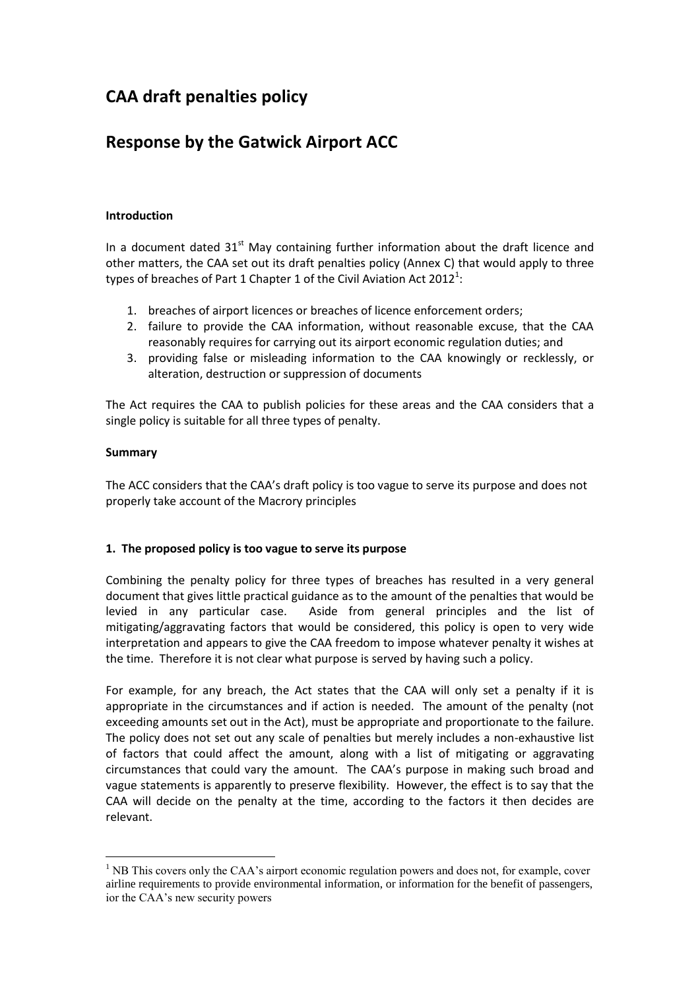# **CAA draft penalties policy**

## **Response by the Gatwick Airport ACC**

### **Introduction**

In a document dated  $31<sup>st</sup>$  May containing further information about the draft licence and other matters, the CAA set out its draft penalties policy (Annex C) that would apply to three types of breaches of Part 1 Chapter 1 of the Civil Aviation Act 2012<sup>1</sup>:

- 1. breaches of airport licences or breaches of licence enforcement orders;
- 2. failure to provide the CAA information, without reasonable excuse, that the CAA reasonably requires for carrying out its airport economic regulation duties; and
- 3. providing false or misleading information to the CAA knowingly or recklessly, or alteration, destruction or suppression of documents

The Act requires the CAA to publish policies for these areas and the CAA considers that a single policy is suitable for all three types of penalty.

#### **Summary**

<u>.</u>

The ACC considers that the CAA's draft policy is too vague to serve its purpose and does not properly take account of the Macrory principles

## **1. The proposed policy is too vague to serve its purpose**

Combining the penalty policy for three types of breaches has resulted in a very general document that gives little practical guidance as to the amount of the penalties that would be levied in any particular case. Aside from general principles and the list of mitigating/aggravating factors that would be considered, this policy is open to very wide interpretation and appears to give the CAA freedom to impose whatever penalty it wishes at the time. Therefore it is not clear what purpose is served by having such a policy.

For example, for any breach, the Act states that the CAA will only set a penalty if it is appropriate in the circumstances and if action is needed. The amount of the penalty (not exceeding amounts set out in the Act), must be appropriate and proportionate to the failure. The policy does not set out any scale of penalties but merely includes a non-exhaustive list of factors that could affect the amount, along with a list of mitigating or aggravating circumstances that could vary the amount. The CAA's purpose in making such broad and vague statements is apparently to preserve flexibility. However, the effect is to say that the CAA will decide on the penalty at the time, according to the factors it then decides are relevant.

 $<sup>1</sup>$  NB This covers only the CAA's airport economic regulation powers and does not, for example, cover</sup> airline requirements to provide environmental information, or information for the benefit of passengers, ior the CAA's new security powers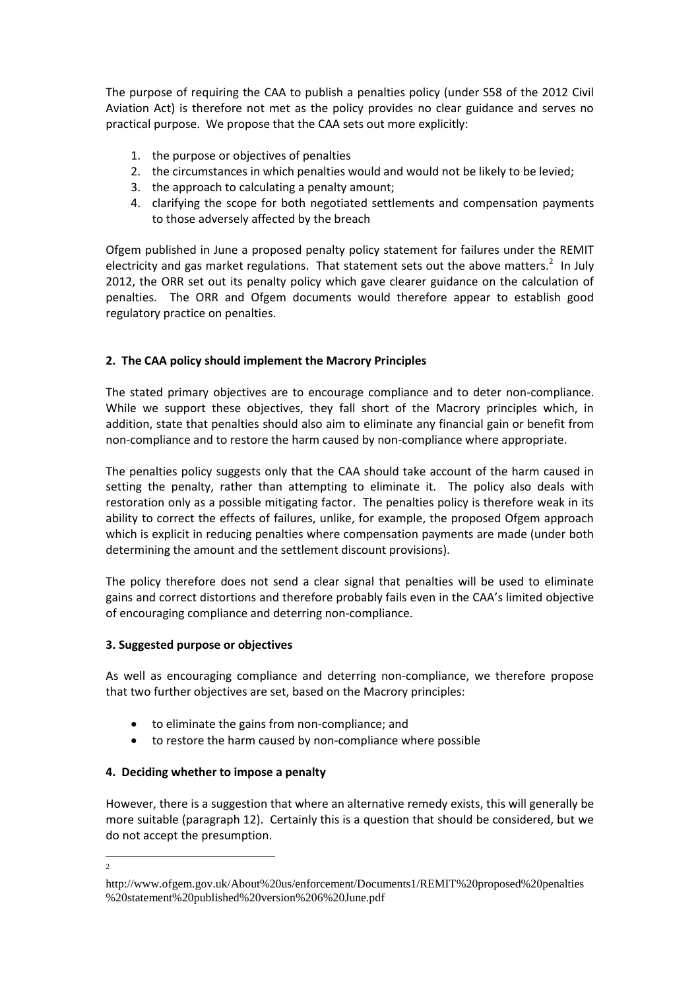The purpose of requiring the CAA to publish a penalties policy (under S58 of the 2012 Civil Aviation Act) is therefore not met as the policy provides no clear guidance and serves no practical purpose. We propose that the CAA sets out more explicitly:

- 1. the purpose or objectives of penalties
- 2. the circumstances in which penalties would and would not be likely to be levied;
- 3. the approach to calculating a penalty amount;
- 4. clarifying the scope for both negotiated settlements and compensation payments to those adversely affected by the breach

Ofgem published in June a proposed penalty policy statement for failures under the REMIT electricity and gas market regulations. That statement sets out the above matters.<sup>2</sup> In July 2012, the ORR set out its penalty policy which gave clearer guidance on the calculation of penalties. The ORR and Ofgem documents would therefore appear to establish good regulatory practice on penalties.

## **2. The CAA policy should implement the Macrory Principles**

The stated primary objectives are to encourage compliance and to deter non-compliance. While we support these objectives, they fall short of the Macrory principles which, in addition, state that penalties should also aim to eliminate any financial gain or benefit from non-compliance and to restore the harm caused by non-compliance where appropriate.

The penalties policy suggests only that the CAA should take account of the harm caused in setting the penalty, rather than attempting to eliminate it. The policy also deals with restoration only as a possible mitigating factor. The penalties policy is therefore weak in its ability to correct the effects of failures, unlike, for example, the proposed Ofgem approach which is explicit in reducing penalties where compensation payments are made (under both determining the amount and the settlement discount provisions).

The policy therefore does not send a clear signal that penalties will be used to eliminate gains and correct distortions and therefore probably fails even in the CAA's limited objective of encouraging compliance and deterring non-compliance.

## **3. Suggested purpose or objectives**

As well as encouraging compliance and deterring non-compliance, we therefore propose that two further objectives are set, based on the Macrory principles:

- to eliminate the gains from non-compliance; and
- to restore the harm caused by non-compliance where possible

## **4. Deciding whether to impose a penalty**

 $\frac{1}{2}$ 

However, there is a suggestion that where an alternative remedy exists, this will generally be more suitable (paragraph 12). Certainly this is a question that should be considered, but we do not accept the presumption.

http://www.ofgem.gov.uk/About%20us/enforcement/Documents1/REMIT%20proposed%20penalties %20statement%20published%20version%206%20June.pdf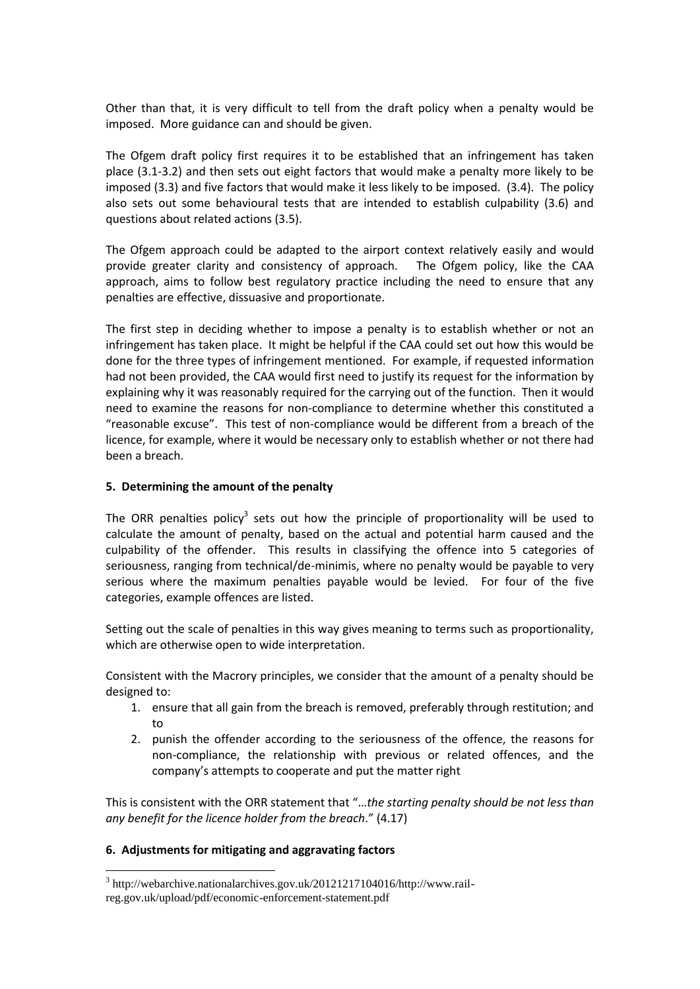Other than that, it is very difficult to tell from the draft policy when a penalty would be imposed. More guidance can and should be given.

The Ofgem draft policy first requires it to be established that an infringement has taken place (3.1-3.2) and then sets out eight factors that would make a penalty more likely to be imposed (3.3) and five factors that would make it less likely to be imposed. (3.4). The policy also sets out some behavioural tests that are intended to establish culpability (3.6) and questions about related actions (3.5).

The Ofgem approach could be adapted to the airport context relatively easily and would provide greater clarity and consistency of approach. The Ofgem policy, like the CAA approach, aims to follow best regulatory practice including the need to ensure that any penalties are effective, dissuasive and proportionate.

The first step in deciding whether to impose a penalty is to establish whether or not an infringement has taken place. It might be helpful if the CAA could set out how this would be done for the three types of infringement mentioned. For example, if requested information had not been provided, the CAA would first need to justify its request for the information by explaining why it was reasonably required for the carrying out of the function. Then it would need to examine the reasons for non-compliance to determine whether this constituted a "reasonable excuse". This test of non-compliance would be different from a breach of the licence, for example, where it would be necessary only to establish whether or not there had been a breach.

#### **5. Determining the amount of the penalty**

The ORR penalties policy<sup>3</sup> sets out how the principle of proportionality will be used to calculate the amount of penalty, based on the actual and potential harm caused and the culpability of the offender. This results in classifying the offence into 5 categories of seriousness, ranging from technical/de-minimis, where no penalty would be payable to very serious where the maximum penalties payable would be levied. For four of the five categories, example offences are listed.

Setting out the scale of penalties in this way gives meaning to terms such as proportionality, which are otherwise open to wide interpretation.

Consistent with the Macrory principles, we consider that the amount of a penalty should be designed to:

- 1. ensure that all gain from the breach is removed, preferably through restitution; and to
- 2. punish the offender according to the seriousness of the offence, the reasons for non-compliance, the relationship with previous or related offences, and the company's attempts to cooperate and put the matter right

This is consistent with the ORR statement that "…*the starting penalty should be not less than any benefit for the licence holder from the breach*." (4.17)

#### **6. Adjustments for mitigating and aggravating factors**

<u>.</u>

<sup>&</sup>lt;sup>3</sup> http://webarchive.nationalarchives.gov.uk/20121217104016/http://www.railreg.gov.uk/upload/pdf/economic-enforcement-statement.pdf